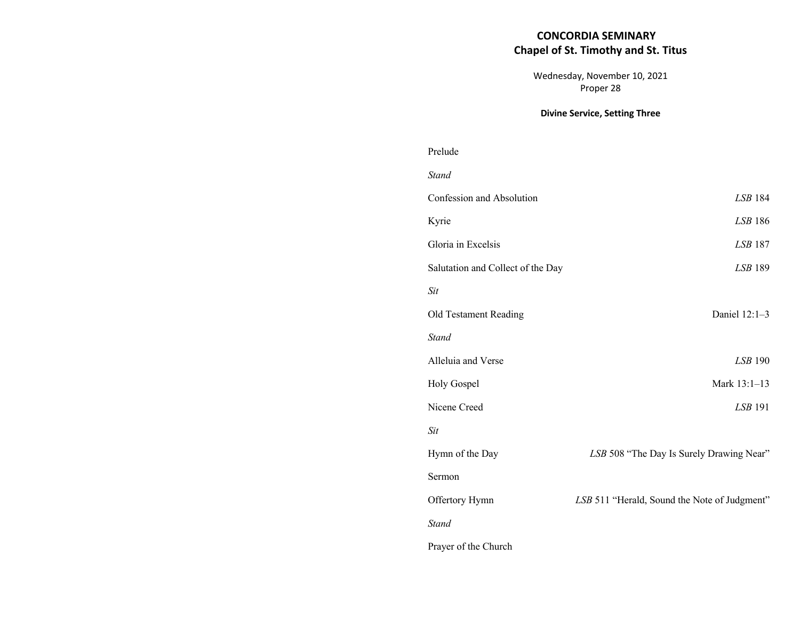# **CONCORDIA SEMINARY Chapel of St. Timothy and St. Titus**

Wednesday, November 10, 2021 Proper 28

## **Divine Service, Setting Three**

| Prelude                           |                                              |
|-----------------------------------|----------------------------------------------|
| <b>Stand</b>                      |                                              |
| Confession and Absolution         | <b>LSB 184</b>                               |
| Kyrie                             | LSB 186                                      |
| Gloria in Excelsis                | <b>LSB 187</b>                               |
| Salutation and Collect of the Day | <b>LSB 189</b>                               |
| Sit                               |                                              |
| Old Testament Reading             | Daniel 12:1-3                                |
| <b>Stand</b>                      |                                              |
| Alleluia and Verse                | <b>LSB 190</b>                               |
| Holy Gospel                       | Mark 13:1-13                                 |
| Nicene Creed                      | LSB 191                                      |
| <b>Sit</b>                        |                                              |
| Hymn of the Day                   | LSB 508 "The Day Is Surely Drawing Near"     |
| Sermon                            |                                              |
| Offertory Hymn                    | LSB 511 "Herald, Sound the Note of Judgment" |
| <b>Stand</b>                      |                                              |
| Prayer of the Church              |                                              |